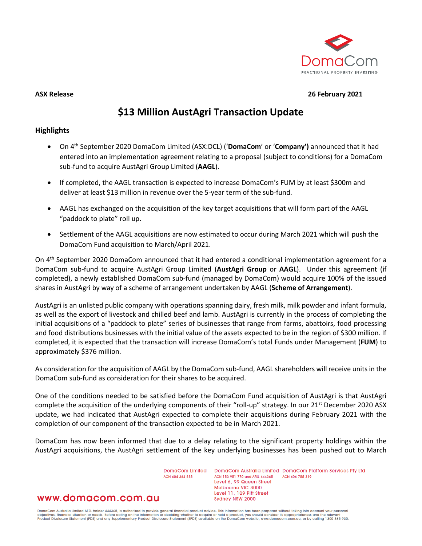

**ASX Release 26 February 2021**

# **\$13 Million AustAgri Transaction Update**

# **Highlights**

- On 4th September 2020 DomaCom Limited (ASX:DCL) ('**DomaCom**' or '**Company')** announced that it had entered into an implementation agreement relating to a proposal (subject to conditions) for a DomaCom sub-fund to acquire AustAgri Group Limited (**AAGL**).
- If completed, the AAGL transaction is expected to increase DomaCom's FUM by at least \$300m and deliver at least \$13 million in revenue over the 5-year term of the sub-fund.
- AAGL has exchanged on the acquisition of the key target acquisitions that will form part of the AAGL "paddock to plate" roll up.
- Settlement of the AAGL acquisitions are now estimated to occur during March 2021 which will push the DomaCom Fund acquisition to March/April 2021.

On 4th September 2020 DomaCom announced that it had entered a conditional implementation agreement for a DomaCom sub-fund to acquire AustAgri Group Limited (**AustAgri Group** or **AAGL**). Under this agreement (if completed), a newly established DomaCom sub-fund (managed by DomaCom) would acquire 100% of the issued shares in AustAgri by way of a scheme of arrangement undertaken by AAGL (**Scheme of Arrangement**).

AustAgri is an unlisted public company with operations spanning dairy, fresh milk, milk powder and infant formula, as well as the export of livestock and chilled beef and lamb. AustAgri is currently in the process of completing the initial acquisitions of a "paddock to plate" series of businesses that range from farms, abattoirs, food processing and food distributions businesses with the initial value of the assets expected to be in the region of \$300 million. If completed, it is expected that the transaction will increase DomaCom's total Funds under Management (**FUM**) to approximately \$376 million.

As consideration for the acquisition of AAGL by the DomaCom sub-fund, AAGL shareholders will receive units in the DomaCom sub-fund as consideration for their shares to be acquired.

One of the conditions needed to be satisfied before the DomaCom Fund acquisition of AustAgri is that AustAgri complete the acquisition of the underlying components of their "roll-up" strategy. In our 21<sup>st</sup> December 2020 ASX update, we had indicated that AustAgri expected to complete their acquisitions during February 2021 with the completion of our component of the transaction expected to be in March 2021.

DomaCom has now been informed that due to a delay relating to the significant property holdings within the AustAgri acquisitions, the AustAgri settlement of the key underlying businesses has been pushed out to March

> DomgCom Limited ACN 604 384 885

DomaCom Australia Limited DomaCom Platform Services Pty Ltd ACN 153 951 770 and AFSL 444365 ACN 606 755 319 Level 6, 99 Queen Street Melbourne VIC 3000 Level 11, 109 Pitt Street Sydney NSW 2000

# www.domacom.com.au

DomaCom Australia Limited AFSL holder 444365, is authorised to provide general financial product advice. This information has been prepared without taking into account your personal<br>objectives, financial situation or needs